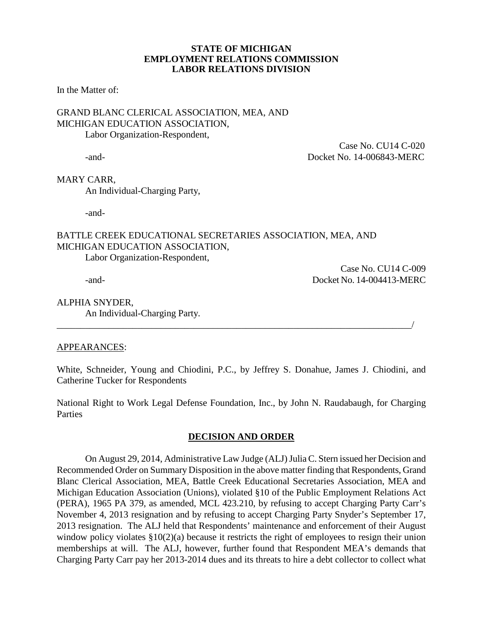### **STATE OF MICHIGAN EMPLOYMENT RELATIONS COMMISSION LABOR RELATIONS DIVISION**

In the Matter of:

# GRAND BLANC CLERICAL ASSOCIATION, MEA, AND MICHIGAN EDUCATION ASSOCIATION, Labor Organization-Respondent,

 Case No. CU14 C-020 -and- Docket No. 14-006843-MERC

# MARY CARR,

An Individual-Charging Party,

-and-

# BATTLE CREEK EDUCATIONAL SECRETARIES ASSOCIATION, MEA, AND MICHIGAN EDUCATION ASSOCIATION,

Labor Organization-Respondent,

Case No. CU14 C-009 -and- Docket No. 14-004413-MERC

# ALPHIA SNYDER,

An Individual-Charging Party.

# APPEARANCES:

White, Schneider, Young and Chiodini, P.C., by Jeffrey S. Donahue, James J. Chiodini, and Catherine Tucker for Respondents

\_\_\_\_\_\_\_\_\_\_\_\_\_\_\_\_\_\_\_\_\_\_\_\_\_\_\_\_\_\_\_\_\_\_\_\_\_\_\_\_\_\_\_\_\_\_\_\_\_\_\_\_\_\_\_\_\_\_\_\_\_\_\_\_\_\_\_\_\_\_\_\_\_\_\_/

National Right to Work Legal Defense Foundation, Inc., by John N. Raudabaugh, for Charging **Parties** 

# **DECISION AND ORDER**

On August 29, 2014, Administrative Law Judge (ALJ) Julia C. Stern issued her Decision and Recommended Order on Summary Disposition in the above matter finding that Respondents, Grand Blanc Clerical Association, MEA, Battle Creek Educational Secretaries Association, MEA and Michigan Education Association (Unions), violated §10 of the Public Employment Relations Act (PERA), 1965 PA 379, as amended, MCL 423.210, by refusing to accept Charging Party Carr's November 4, 2013 resignation and by refusing to accept Charging Party Snyder's September 17, 2013 resignation. The ALJ held that Respondents' maintenance and enforcement of their August window policy violates  $$10(2)(a)$  because it restricts the right of employees to resign their union memberships at will. The ALJ, however, further found that Respondent MEA's demands that Charging Party Carr pay her 2013-2014 dues and its threats to hire a debt collector to collect what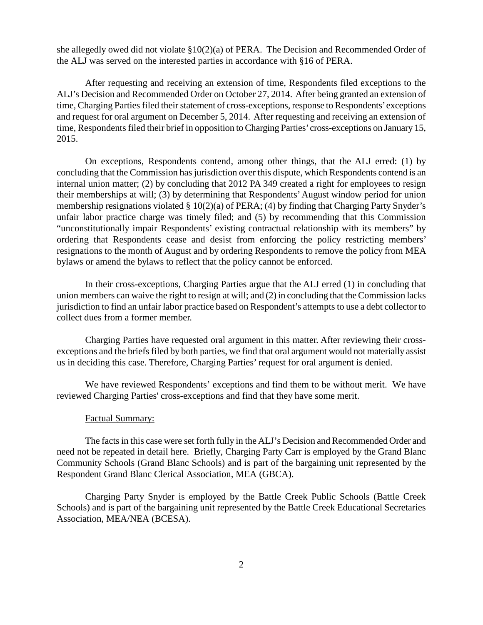she allegedly owed did not violate §10(2)(a) of PERA. The Decision and Recommended Order of the ALJ was served on the interested parties in accordance with §16 of PERA.

After requesting and receiving an extension of time, Respondents filed exceptions to the ALJ's Decision and Recommended Order on October 27, 2014. After being granted an extension of time, Charging Parties filed their statement of cross-exceptions, response to Respondents' exceptions and request for oral argument on December 5, 2014. After requesting and receiving an extension of time, Respondents filed their brief in opposition to Charging Parties'cross-exceptions on January 15, 2015.

On exceptions, Respondents contend, among other things, that the ALJ erred: (1) by concluding that the Commission has jurisdiction over this dispute, which Respondents contend is an internal union matter; (2) by concluding that 2012 PA 349 created a right for employees to resign their memberships at will; (3) by determining that Respondents'August window period for union membership resignations violated § 10(2)(a) of PERA; (4) by finding that Charging Party Snyder's unfair labor practice charge was timely filed; and (5) by recommending that this Commission "unconstitutionally impair Respondents' existing contractual relationship with its members" by ordering that Respondents cease and desist from enforcing the policy restricting members' resignations to the month of August and by ordering Respondents to remove the policy from MEA bylaws or amend the bylaws to reflect that the policy cannot be enforced.

In their cross-exceptions, Charging Parties argue that the ALJ erred (1) in concluding that union members can waive the right to resign at will; and (2) in concluding that the Commission lacks jurisdiction to find an unfair labor practice based on Respondent's attempts to use a debt collector to collect dues from a former member.

Charging Parties have requested oral argument in this matter. After reviewing their crossexceptions and the briefs filed by both parties, we find that oral argument would not materially assist us in deciding this case. Therefore, Charging Parties' request for oral argument is denied.

We have reviewed Respondents' exceptions and find them to be without merit. We have reviewed Charging Parties' cross-exceptions and find that they have some merit.

#### Factual Summary:

The facts in this case were set forth fully in the ALJ's Decision and Recommended Order and need not be repeated in detail here. Briefly, Charging Party Carr is employed by the Grand Blanc Community Schools (Grand Blanc Schools) and is part of the bargaining unit represented by the Respondent Grand Blanc Clerical Association, MEA (GBCA).

Charging Party Snyder is employed by the Battle Creek Public Schools (Battle Creek Schools) and is part of the bargaining unit represented by the Battle Creek Educational Secretaries Association, MEA/NEA (BCESA).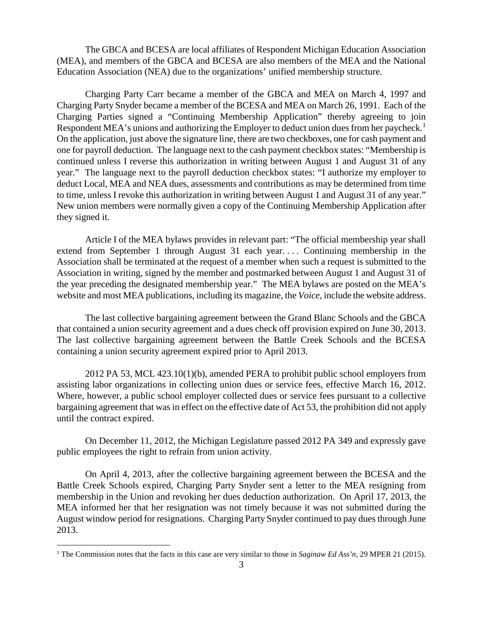The GBCA and BCESA are local affiliates of Respondent Michigan Education Association (MEA), and members of the GBCA and BCESA are also members of the MEA and the National Education Association (NEA) due to the organizations' unified membership structure.

Charging Party Carr became a member of the GBCA and MEA on March 4, 1997 and Charging Party Snyder became a member of the BCESA and MEA on March 26, 1991. Each of the Charging Parties signed a "Continuing Membership Application" thereby agreeing to join Respondent MEA's unions and authorizing the Employer to deduct union dues from her paycheck.<sup>[1](#page-2-0)</sup> On the application, just above the signature line, there are two checkboxes, one for cash payment and one for payroll deduction. The language next to the cash payment checkbox states: "Membership is continued unless I reverse this authorization in writing between August 1 and August 31 of any year." The language next to the payroll deduction checkbox states: "I authorize my employer to deduct Local, MEA and NEA dues, assessments and contributions as may be determined from time to time, unless I revoke this authorization in writing between August 1 and August 31 of any year." New union members were normally given a copy of the Continuing Membership Application after they signed it.

Article I of the MEA bylaws provides in relevant part: "The official membership year shall extend from September 1 through August 31 each year. . . . Continuing membership in the Association shall be terminated at the request of a member when such a request is submitted to the Association in writing, signed by the member and postmarked between August 1 and August 31 of the year preceding the designated membership year." The MEA bylaws are posted on the MEA's website and most MEA publications, including its magazine, the *Voice,* include the website address.

The last collective bargaining agreement between the Grand Blanc Schools and the GBCA that contained a union security agreement and a dues check off provision expired on June 30, 2013. The last collective bargaining agreement between the Battle Creek Schools and the BCESA containing a union security agreement expired prior to April 2013.

2012 PA 53, MCL 423.10(1)(b), amended PERA to prohibit public school employers from assisting labor organizations in collecting union dues or service fees, effective March 16, 2012. Where, however, a public school employer collected dues or service fees pursuant to a collective bargaining agreement that was in effect on the effective date of Act 53, the prohibition did not apply until the contract expired.

On December 11, 2012, the Michigan Legislature passed 2012 PA 349 and expressly gave public employees the right to refrain from union activity.

On April 4, 2013, after the collective bargaining agreement between the BCESA and the Battle Creek Schools expired, Charging Party Snyder sent a letter to the MEA resigning from membership in the Union and revoking her dues deduction authorization. On April 17, 2013, the MEA informed her that her resignation was not timely because it was not submitted during the August window period for resignations. Charging Party Snyder continued to pay dues through June 2013.

<span id="page-2-0"></span> <sup>1</sup> The Commission notes that the facts in this case are very similar to those in *Saginaw Ed Ass'n,* <sup>29</sup> MPER 21 (2015).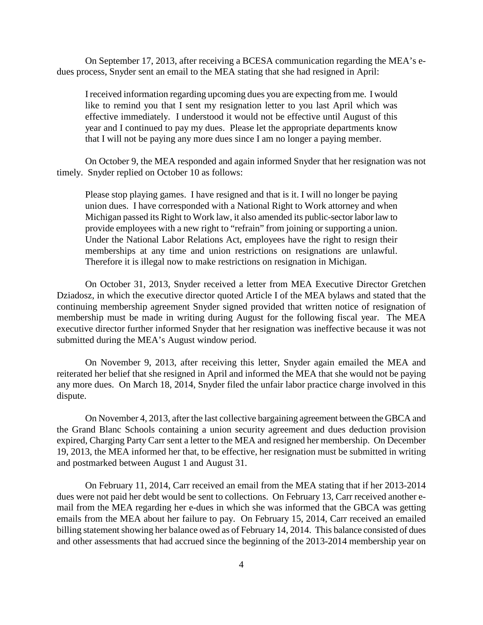On September 17, 2013, after receiving a BCESA communication regarding the MEA's edues process, Snyder sent an email to the MEA stating that she had resigned in April:

I received information regarding upcoming dues you are expecting from me. I would like to remind you that I sent my resignation letter to you last April which was effective immediately. I understood it would not be effective until August of this year and I continued to pay my dues. Please let the appropriate departments know that I will not be paying any more dues since I am no longer a paying member.

On October 9, the MEA responded and again informed Snyder that her resignation was not timely. Snyder replied on October 10 as follows:

Please stop playing games. I have resigned and that is it. I will no longer be paying union dues. I have corresponded with a National Right to Work attorney and when Michigan passed its Right to Work law, it also amended its public-sector labor law to provide employees with a new right to "refrain" from joining or supporting a union. Under the National Labor Relations Act, employees have the right to resign their memberships at any time and union restrictions on resignations are unlawful. Therefore it is illegal now to make restrictions on resignation in Michigan.

On October 31, 2013, Snyder received a letter from MEA Executive Director Gretchen Dziadosz, in which the executive director quoted Article I of the MEA bylaws and stated that the continuing membership agreement Snyder signed provided that written notice of resignation of membership must be made in writing during August for the following fiscal year. The MEA executive director further informed Snyder that her resignation was ineffective because it was not submitted during the MEA's August window period.

On November 9, 2013, after receiving this letter, Snyder again emailed the MEA and reiterated her belief that she resigned in April and informed the MEA that she would not be paying any more dues. On March 18, 2014, Snyder filed the unfair labor practice charge involved in this dispute.

On November 4, 2013, after the last collective bargaining agreement between the GBCA and the Grand Blanc Schools containing a union security agreement and dues deduction provision expired, Charging Party Carr sent a letter to the MEA and resigned her membership. On December 19, 2013, the MEA informed her that, to be effective, her resignation must be submitted in writing and postmarked between August 1 and August 31.

On February 11, 2014, Carr received an email from the MEA stating that if her 2013-2014 dues were not paid her debt would be sent to collections. On February 13, Carr received another email from the MEA regarding her e-dues in which she was informed that the GBCA was getting emails from the MEA about her failure to pay. On February 15, 2014, Carr received an emailed billing statement showing her balance owed as of February 14, 2014. This balance consisted of dues and other assessments that had accrued since the beginning of the 2013-2014 membership year on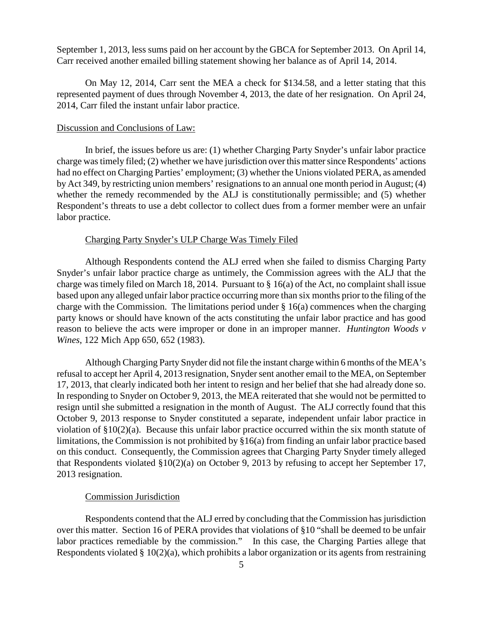September 1, 2013, less sums paid on her account by the GBCA for September 2013. On April 14, Carr received another emailed billing statement showing her balance as of April 14, 2014.

On May 12, 2014, Carr sent the MEA a check for \$134.58, and a letter stating that this represented payment of dues through November 4, 2013, the date of her resignation. On April 24, 2014, Carr filed the instant unfair labor practice.

#### Discussion and Conclusions of Law:

In brief, the issues before us are: (1) whether Charging Party Snyder's unfair labor practice charge was timely filed; (2) whether we have jurisdiction over this matter since Respondents' actions had no effect on Charging Parties' employment; (3) whether the Unions violated PERA, as amended by Act 349, by restricting union members' resignations to an annual one month period in August; (4) whether the remedy recommended by the ALJ is constitutionally permissible; and (5) whether Respondent's threats to use a debt collector to collect dues from a former member were an unfair labor practice.

#### Charging Party Snyder's ULP Charge Was Timely Filed

Although Respondents contend the ALJ erred when she failed to dismiss Charging Party Snyder's unfair labor practice charge as untimely, the Commission agrees with the ALJ that the charge was timely filed on March 18, 2014. Pursuant to § 16(a) of the Act, no complaint shall issue based upon any alleged unfair labor practice occurring more than six months prior to the filing of the charge with the Commission. The limitations period under § 16(a) commences when the charging party knows or should have known of the acts constituting the unfair labor practice and has good reason to believe the acts were improper or done in an improper manner. *Huntington Woods v Wines*, 122 Mich App 650, 652 (1983).

Although Charging Party Snyder did not file the instant charge within 6 months of the MEA's refusal to accept her April 4, 2013 resignation, Snyder sent another email to the MEA, on September 17, 2013, that clearly indicated both her intent to resign and her belief that she had already done so. In responding to Snyder on October 9, 2013, the MEA reiterated that she would not be permitted to resign until she submitted a resignation in the month of August. The ALJ correctly found that this October 9, 2013 response to Snyder constituted a separate, independent unfair labor practice in violation of §10(2)(a). Because this unfair labor practice occurred within the six month statute of limitations, the Commission is not prohibited by §16(a) from finding an unfair labor practice based on this conduct. Consequently, the Commission agrees that Charging Party Snyder timely alleged that Respondents violated §10(2)(a) on October 9, 2013 by refusing to accept her September 17, 2013 resignation.

#### Commission Jurisdiction

Respondents contend that the ALJ erred by concluding that the Commission has jurisdiction over this matter. Section 16 of PERA provides that violations of §10 "shall be deemed to be unfair labor practices remediable by the commission." In this case, the Charging Parties allege that Respondents violated  $\S 10(2)(a)$ , which prohibits a labor organization or its agents from restraining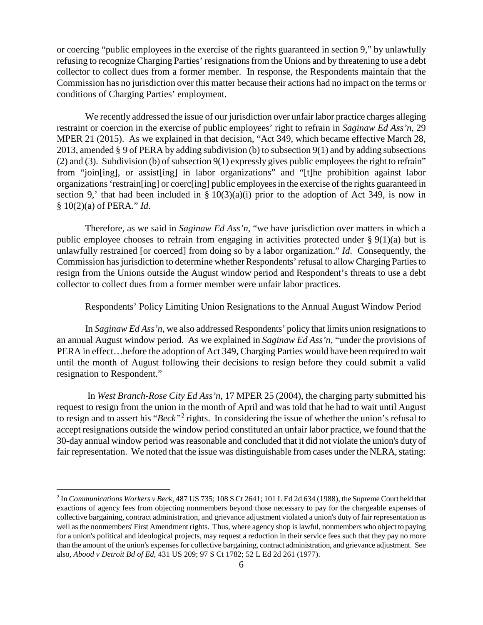or coercing "public employees in the exercise of the rights guaranteed in section 9," by unlawfully refusing to recognize Charging Parties' resignations from the Unions and by threatening to use a debt collector to collect dues from a former member. In response, the Respondents maintain that the Commission has no jurisdiction over this matter because their actions had no impact on the terms or conditions of Charging Parties' employment.

We recently addressed the issue of our jurisdiction over unfair labor practice charges alleging restraint or coercion in the exercise of public employees' right to refrain in *Saginaw Ed Ass'n,* 29 MPER 21 (2015). As we explained in that decision, "Act 349, which became effective March 28, 2013, amended § 9 of PERA by adding subdivision (b) to subsection 9(1) and by adding subsections (2) and (3). Subdivision (b) of subsection 9(1) expressly gives public employees the right to refrain" from "join[ing], or assist[ing] in labor organizations" and "[t]he prohibition against labor organizations 'restrain[ing] or coerc[ing] public employees in the exercise of the rights guaranteed in section 9,' that had been included in  $\S 10(3)(a)(i)$  prior to the adoption of Act 349, is now in § 10(2)(a) of PERA." *Id*.

Therefore, as we said in *Saginaw Ed Ass'n*, "we have jurisdiction over matters in which a public employee chooses to refrain from engaging in activities protected under § 9(1)(a) but is unlawfully restrained [or coerced] from doing so by a labor organization." *Id*. Consequently, the Commission hasjurisdiction to determine whether Respondents' refusal to allow Charging Parties to resign from the Unions outside the August window period and Respondent's threats to use a debt collector to collect dues from a former member were unfair labor practices.

#### Respondents' Policy Limiting Union Resignations to the Annual August Window Period

In *Saginaw Ed Ass'n*, we also addressed Respondents' policy that limits union resignations to an annual August window period. As we explained in *Saginaw Ed Ass'n*, "under the provisions of PERA in effect…before the adoption of Act 349, Charging Parties would have been required to wait until the month of August following their decisions to resign before they could submit a valid resignation to Respondent."

In *West Branch-Rose City Ed Ass'n*, 17 MPER 25 (2004), the charging party submitted his request to resign from the union in the month of April and was told that he had to wait until August to resign and to assert his "*Beck"*[2](#page-5-0) rights. In considering the issue of whether the union's refusal to accept resignations outside the window period constituted an unfair labor practice, we found that the 30-day annual window period was reasonable and concluded that it did not violate the union's duty of fair representation. We noted that the issue was distinguishable from cases under the NLRA, stating:

<span id="page-5-0"></span> <sup>2</sup> In *Communications Workers v Beck*, 487 US 735; 108 S Ct 2641; 101 L Ed 2d 634 (1988), the Supreme Court held that exactions of agency fees from objecting nonmembers beyond those necessary to pay for the chargeable expenses of collective bargaining, contract administration, and grievance adjustment violated a union's duty of fair representation as well as the nonmembers' First Amendment rights. Thus, where agency shop is lawful, nonmembers who object to paying for a union's political and ideological projects, may request a reduction in their service fees such that they pay no more than the amount of the union's expenses for collective bargaining, contract administration, and grievance adjustment. See also, *Abood v Detroit Bd of Ed*, 431 US 209; 97 S Ct 1782; 52 L Ed 2d 261 (1977).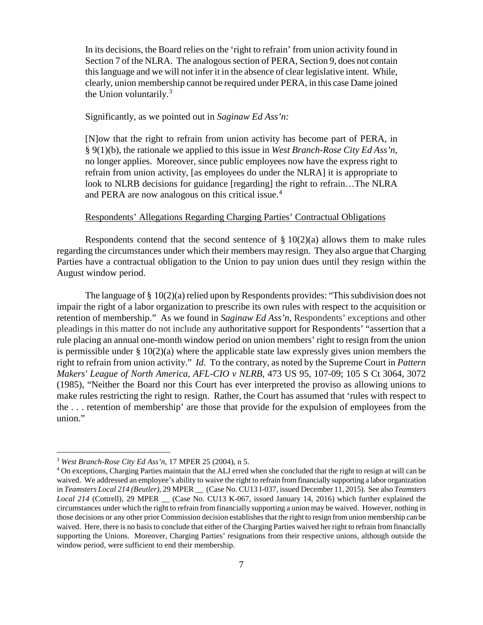In its decisions, the Board relies on the 'right to refrain' from union activity found in Section 7 of the NLRA. The analogous section of PERA, Section 9, does not contain this language and we will not infer it in the absence of clear legislative intent. While, clearly, union membership cannot be required under PERA, in this case Dame joined the Union voluntarily.<sup>[3](#page-6-0)</sup>

### Significantly, as we pointed out in *Saginaw Ed Ass'n:*

[N]ow that the right to refrain from union activity has become part of PERA, in § 9(1)(b), the rationale we applied to this issue in *West Branch-Rose City Ed Ass'n*, no longer applies. Moreover, since public employees now have the express right to refrain from union activity, [as employees do under the NLRA] it is appropriate to look to NLRB decisions for guidance [regarding] the right to refrain…The NLRA and PERA are now analogous on this critical issue.<sup>[4](#page-6-1)</sup>

## Respondents' Allegations Regarding Charging Parties' Contractual Obligations

Respondents contend that the second sentence of  $\S 10(2)(a)$  allows them to make rules regarding the circumstances under which their members may resign. They also argue that Charging Parties have a contractual obligation to the Union to pay union dues until they resign within the August window period.

The language of § 10(2)(a) relied upon by Respondents provides: "This subdivision does not impair the right of a labor organization to prescribe its own rules with respect to the acquisition or retention of membership." As we found in *Saginaw Ed Ass'n*, Respondents' exceptions and other pleadings in this matter do not include any authoritative support for Respondents' "assertion that a rule placing an annual one-month window period on union members' right to resign from the union is permissible under § 10(2)(a) where the applicable state law expressly gives union members the right to refrain from union activity." *Id*. To the contrary, as noted by the Supreme Court in *Pattern Makers' League of North America, AFL-CIO v NLRB*, 473 US 95, 107-09; 105 S Ct 3064, 3072 (1985), "Neither the Board nor this Court has ever interpreted the proviso as allowing unions to make rules restricting the right to resign. Rather, the Court has assumed that 'rules with respect to the . . . retention of membership' are those that provide for the expulsion of employees from the union."

<span id="page-6-0"></span> <sup>3</sup> *West Branch-Rose City Ed Ass'n*, 17 MPER 25 (2004), n 5.

<span id="page-6-1"></span><sup>4</sup> On exceptions, Charging Parties maintain that the ALJ erred when she concluded that the right to resign at will can be waived. We addressed an employee's ability to waive the right to refrain from financially supporting a labor organization in *Teamsters Local 214 (Beutler)*, 29 MPER \_\_ (Case No. CU13 I-037, issued December 11, 2015). See also *Teamsters*  Local 214 (Cottrell), 29 MPER \_\_ (Case No. CU13 K-067, issued January 14, 2016) which further explained the circumstances under which the right to refrain from financially supporting a union may be waived. However, nothing in those decisions or any other prior Commission decision establishes that the right to resign from union membership can be waived. Here, there is no basis to conclude that either of the Charging Parties waived her right to refrain from financially supporting the Unions. Moreover, Charging Parties' resignations from their respective unions, although outside the window period, were sufficient to end their membership.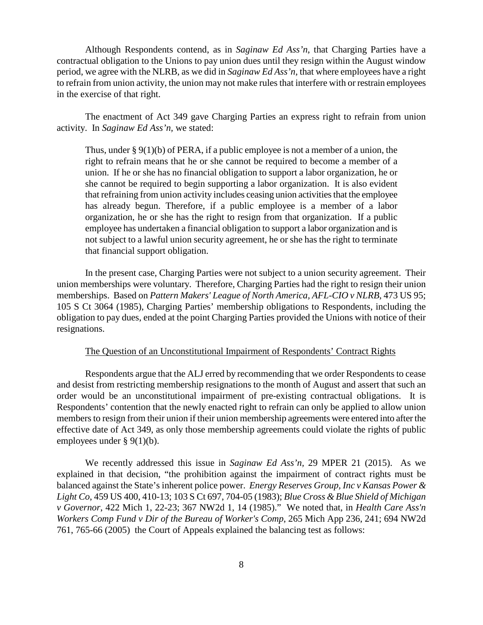Although Respondents contend, as in *Saginaw Ed Ass'n*, that Charging Parties have a contractual obligation to the Unions to pay union dues until they resign within the August window period, we agree with the NLRB, as we did in *Saginaw Ed Ass'n*, that where employees have a right to refrain from union activity, the union may not make rules that interfere with or restrain employees in the exercise of that right.

The enactment of Act 349 gave Charging Parties an express right to refrain from union activity. In *Saginaw Ed Ass'n,* we stated:

Thus, under § 9(1)(b) of PERA, if a public employee is not a member of a union, the right to refrain means that he or she cannot be required to become a member of a union. If he or she has no financial obligation to support a labor organization, he or she cannot be required to begin supporting a labor organization. It is also evident that refraining from union activity includes ceasing union activities that the employee has already begun. Therefore, if a public employee is a member of a labor organization, he or she has the right to resign from that organization. If a public employee has undertaken a financial obligation to support a labor organization and is not subject to a lawful union security agreement, he or she has the right to terminate that financial support obligation.

In the present case, Charging Parties were not subject to a union security agreement. Their union memberships were voluntary. Therefore, Charging Parties had the right to resign their union memberships. Based on *Pattern Makers' League of North America, AFL-CIO v NLRB*, 473 US 95; 105 S Ct 3064 (1985), Charging Parties' membership obligations to Respondents, including the obligation to pay dues, ended at the point Charging Parties provided the Unions with notice of their resignations.

### The Question of an Unconstitutional Impairment of Respondents' Contract Rights

Respondents argue that the ALJ erred by recommending that we order Respondents to cease and desist from restricting membership resignations to the month of August and assert that such an order would be an unconstitutional impairment of pre-existing contractual obligations. It is Respondents' contention that the newly enacted right to refrain can only be applied to allow union members to resign from their union if their union membership agreements were entered into after the effective date of Act 349, as only those membership agreements could violate the rights of public employees under § 9(1)(b).

We recently addressed this issue in *Saginaw Ed Ass'n,* 29 MPER 21 (2015). As we explained in that decision, "the prohibition against the impairment of contract rights must be balanced against the State's inherent police power. *Energy Reserves Group, Inc v Kansas Power & Light Co*, 459 US 400, 410-13; 103 S Ct 697, 704-05 (1983); *Blue Cross & Blue Shield of Michigan v Governor*, 422 Mich 1, 22-23; 367 NW2d 1, 14 (1985)." We noted that, in *Health Care Ass'n Workers Comp Fund v Dir of the Bureau of Worker's Comp*, 265 Mich App 236, 241; 694 NW2d 761, 765-66 (2005) the Court of Appeals explained the balancing test as follows: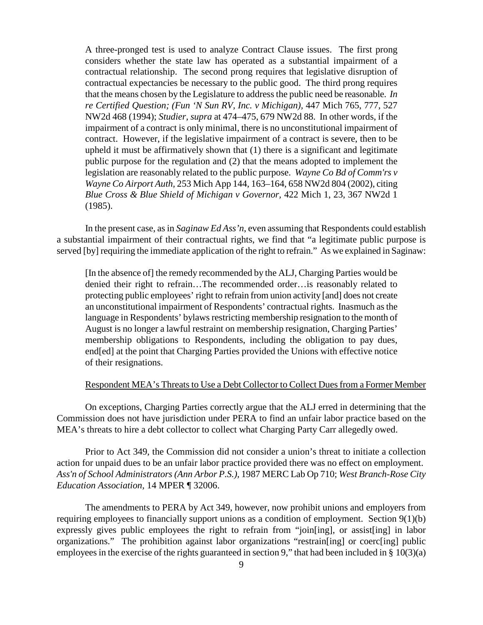A three-pronged test is used to analyze Contract Clause issues. The first prong considers whether the state law has operated as a substantial impairment of a contractual relationship. The second prong requires that legislative disruption of contractual expectancies be necessary to the public good. The third prong requires that the means chosen by the Legislature to address the public need be reasonable. *In re Certified Question; (Fun 'N Sun RV, Inc. v Michigan),* 447 Mich 765, 777, 527 NW2d 468 (1994); *Studier, supra* at 474–475, 679 NW2d 88. In other words, if the impairment of a contract is only minimal, there is no unconstitutional impairment of contract. However, if the legislative impairment of a contract is severe, then to be upheld it must be affirmatively shown that (1) there is a significant and legitimate public purpose for the regulation and (2) that the means adopted to implement the legislation are reasonably related to the public purpose. *Wayne Co Bd of Comm'rs v Wayne Co Airport Auth,* 253 Mich App 144, 163–164, 658 NW2d 804 (2002), citing *Blue Cross & Blue Shield of Michigan v Governor,* 422 Mich 1, 23, 367 NW2d 1 (1985).

In the present case, as in *Saginaw Ed Ass'n*, even assuming that Respondents could establish a substantial impairment of their contractual rights, we find that "a legitimate public purpose is served [by] requiring the immediate application of the right to refrain." As we explained in Saginaw:

[In the absence of] the remedy recommended by the ALJ, Charging Parties would be denied their right to refrain…The recommended order…is reasonably related to protecting public employees' right to refrain from union activity [and] does not create an unconstitutional impairment of Respondents' contractual rights. Inasmuch as the language in Respondents' bylaws restricting membership resignation to the month of August is no longer a lawful restraint on membership resignation, Charging Parties' membership obligations to Respondents, including the obligation to pay dues, end[ed] at the point that Charging Parties provided the Unions with effective notice of their resignations.

### Respondent MEA's Threats to Use a Debt Collector to Collect Dues from a Former Member

On exceptions, Charging Parties correctly argue that the ALJ erred in determining that the Commission does not have jurisdiction under PERA to find an unfair labor practice based on the MEA's threats to hire a debt collector to collect what Charging Party Carr allegedly owed.

Prior to Act 349, the Commission did not consider a union's threat to initiate a collection action for unpaid dues to be an unfair labor practice provided there was no effect on employment. *Ass'n of School Administrators (Ann Arbor P.S.),* 1987 MERC Lab Op 710; *West Branch-Rose City Education Association,* 14 MPER ¶ 32006.

The amendments to PERA by Act 349, however, now prohibit unions and employers from requiring employees to financially support unions as a condition of employment. Section 9(1)(b) expressly gives public employees the right to refrain from "join[ing], or assist[ing] in labor organizations." The prohibition against labor organizations "restrain[ing] or coerc[ing] public employees in the exercise of the rights guaranteed in section 9," that had been included in § 10(3)(a)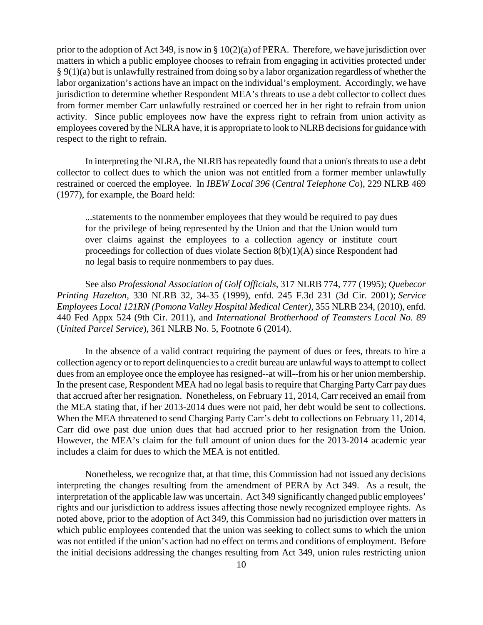prior to the adoption of Act 349, is now in § 10(2)(a) of PERA. Therefore, we have jurisdiction over matters in which a public employee chooses to refrain from engaging in activities protected under § 9(1)(a) but is unlawfully restrained from doing so by a labor organization regardless of whether the labor organization's actions have an impact on the individual's employment. Accordingly, we have jurisdiction to determine whether Respondent MEA's threats to use a debt collector to collect dues from former member Carr unlawfully restrained or coerced her in her right to refrain from union activity. Since public employees now have the express right to refrain from union activity as employees covered by the NLRA have, it is appropriate to look to NLRB decisions for guidance with respect to the right to refrain.

In interpreting the NLRA, the NLRB has repeatedly found that a union's threats to use a debt collector to collect dues to which the union was not entitled from a former member unlawfully restrained or coerced the employee. In *IBEW Local 396* (*Central Telephone Co*), 229 NLRB 469 (1977), for example, the Board held:

...statements to the nonmember employees that they would be required to pay dues for the privilege of being represented by the Union and that the Union would turn over claims against the employees to a collection agency or institute court proceedings for collection of dues violate Section 8(b)(1)(A) since Respondent had no legal basis to require nonmembers to pay dues.

See also *Professional Association of Golf Officials*, 317 NLRB 774, 777 (1995); *Quebecor Printing Hazelton*, 330 NLRB 32, 34-35 (1999), enfd. 245 F.3d 231 (3d Cir. 2001); *[Service](https://a.next.westlaw.com/Link/Document/FullText?findType=Y&serNum=2022273984&pubNum=0001417&originatingDoc=I611b9137138211e4b86bd602cb8781fa&refType=CA&fi=co_pp_sp_1417_235&originationContext=document&transitionType=DocumentItem&contextData=(sc.Search)#co_pp_sp_1417_235)  [Employees Local 121RN \(Pomona Valley Hospital Medical Center\)](https://a.next.westlaw.com/Link/Document/FullText?findType=Y&serNum=2022273984&pubNum=0001417&originatingDoc=I611b9137138211e4b86bd602cb8781fa&refType=CA&fi=co_pp_sp_1417_235&originationContext=document&transitionType=DocumentItem&contextData=(sc.Search)#co_pp_sp_1417_235)*, 355 NLRB 234, (2010), enfd. 440 Fed Appx [524 \(9th Cir. 2011\),](https://a.next.westlaw.com/Link/Document/FullText?findType=Y&serNum=2025573198&pubNum=0006538&originatingDoc=I611b9137138211e4b86bd602cb8781fa&refType=RP&originationContext=document&transitionType=DocumentItem&contextData=(sc.Search)) and *International Brotherhood of Teamsters Local No. 89* (*United Parcel Service*), 361 NLRB No. 5, Footnote 6 (2014).

In the absence of a valid contract requiring the payment of dues or fees, threats to hire a collection agency or to report delinquencies to a credit bureau are unlawful ways to attempt to collect dues from an employee once the employee has resigned--at will--from his or her union membership. In the present case, Respondent MEA had no legal basis to require that Charging Party Carr pay dues that accrued after her resignation. Nonetheless, on February 11, 2014, Carr received an email from the MEA stating that, if her 2013-2014 dues were not paid, her debt would be sent to collections. When the MEA threatened to send Charging Party Carr's debt to collections on February 11, 2014, Carr did owe past due union dues that had accrued prior to her resignation from the Union. However, the MEA's claim for the full amount of union dues for the 2013-2014 academic year includes a claim for dues to which the MEA is not entitled.

Nonetheless, we recognize that, at that time, this Commission had not issued any decisions interpreting the changes resulting from the amendment of PERA by Act 349. As a result, the interpretation of the applicable law was uncertain. Act 349 significantly changed public employees' rights and our jurisdiction to address issues affecting those newly recognized employee rights. As noted above, prior to the adoption of Act 349, this Commission had no jurisdiction over matters in which public employees contended that the union was seeking to collect sums to which the union was not entitled if the union's action had no effect on terms and conditions of employment. Before the initial decisions addressing the changes resulting from Act 349, union rules restricting union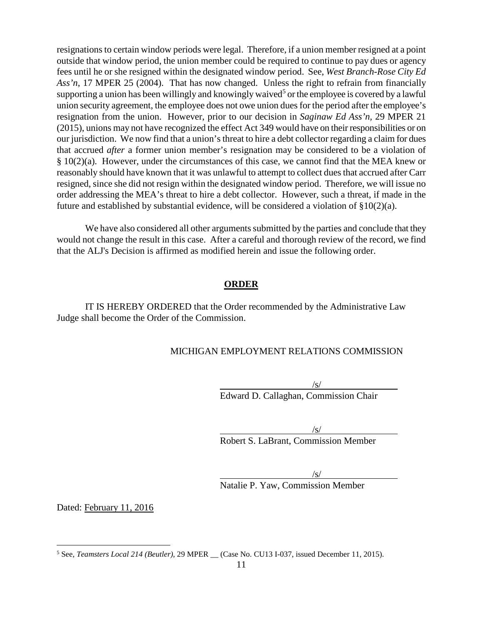resignations to certain window periods were legal. Therefore, if a union member resigned at a point outside that window period, the union member could be required to continue to pay dues or agency fees until he or she resigned within the designated window period. See, *West Branch-Rose City Ed Ass'n*, 17 MPER 25 (2004). That has now changed. Unless the right to refrain from financially supporting a union has been willingly and knowingly waived<sup>[5](#page-10-0)</sup> or the employee is covered by a lawful union security agreement, the employee does not owe union dues for the period after the employee's resignation from the union. However, prior to our decision in *Saginaw Ed Ass'n,* 29 MPER 21 (2015), unions may not have recognized the effect Act 349 would have on their responsibilities or on our jurisdiction. We now find that a union's threat to hire a debt collector regarding a claim for dues that accrued *after* a former union member's resignation may be considered to be a violation of § 10(2)(a). However, under the circumstances of this case, we cannot find that the MEA knew or reasonably should have known that it was unlawful to attempt to collect dues that accrued after Carr resigned, since she did not resign within the designated window period. Therefore, we will issue no order addressing the MEA's threat to hire a debt collector. However, such a threat, if made in the future and established by substantial evidence, will be considered a violation of §10(2)(a).

We have also considered all other arguments submitted by the parties and conclude that they would not change the result in this case. After a careful and thorough review of the record, we find that the ALJ's Decision is affirmed as modified herein and issue the following order.

# **ORDER**

IT IS HEREBY ORDERED that the Order recommended by the Administrative Law Judge shall become the Order of the Commission.

# MICHIGAN EMPLOYMENT RELATIONS COMMISSION

/s/ Edward D. Callaghan, Commission Chair

 $\sqrt{s/}$ 

Robert S. LaBrant, Commission Member

/s/

Natalie P. Yaw, Commission Member

Dated: February 11, 2016

<span id="page-10-0"></span> <sup>5</sup> See, *Teamsters Local 214 (Beutler)*, 29 MPER \_\_ (Case No. CU13 I-037, issued December 11, 2015).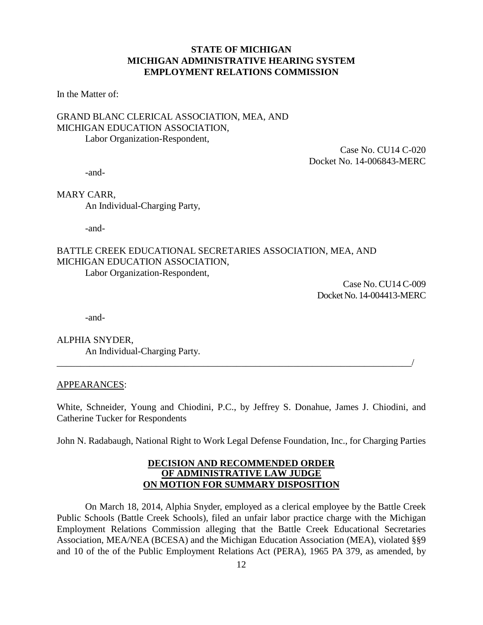# **STATE OF MICHIGAN MICHIGAN ADMINISTRATIVE HEARING SYSTEM EMPLOYMENT RELATIONS COMMISSION**

In the Matter of:

# GRAND BLANC CLERICAL ASSOCIATION, MEA, AND MICHIGAN EDUCATION ASSOCIATION, Labor Organization-Respondent,

Case No. CU14 C-020 Docket No. 14-006843-MERC

-and-

MARY CARR,

An Individual-Charging Party,

-and-

# BATTLE CREEK EDUCATIONAL SECRETARIES ASSOCIATION, MEA, AND MICHIGAN EDUCATION ASSOCIATION, Labor Organization-Respondent,

 Case No. CU14 C-009 Docket No. 14-004413-MERC

-and-

ALPHIA SNYDER, An Individual-Charging Party.

### APPEARANCES:

White, Schneider, Young and Chiodini, P.C., by Jeffrey S. Donahue, James J. Chiodini, and Catherine Tucker for Respondents

\_\_\_\_\_\_\_\_\_\_\_\_\_\_\_\_\_\_\_\_\_\_\_\_\_\_\_\_\_\_\_\_\_\_\_\_\_\_\_\_\_\_\_\_\_\_\_\_\_\_\_\_\_\_\_\_\_\_\_\_\_\_\_\_\_\_\_\_\_\_\_\_\_\_\_/

John N. Radabaugh, National Right to Work Legal Defense Foundation, Inc., for Charging Parties

### **DECISION AND RECOMMENDED ORDER OF ADMINISTRATIVE LAW JUDGE ON MOTION FOR SUMMARY DISPOSITION**

On March 18, 2014, Alphia Snyder, employed as a clerical employee by the Battle Creek Public Schools (Battle Creek Schools), filed an unfair labor practice charge with the Michigan Employment Relations Commission alleging that the Battle Creek Educational Secretaries Association, MEA/NEA (BCESA) and the Michigan Education Association (MEA), violated §§9 and 10 of the of the Public Employment Relations Act (PERA), 1965 PA 379, as amended, by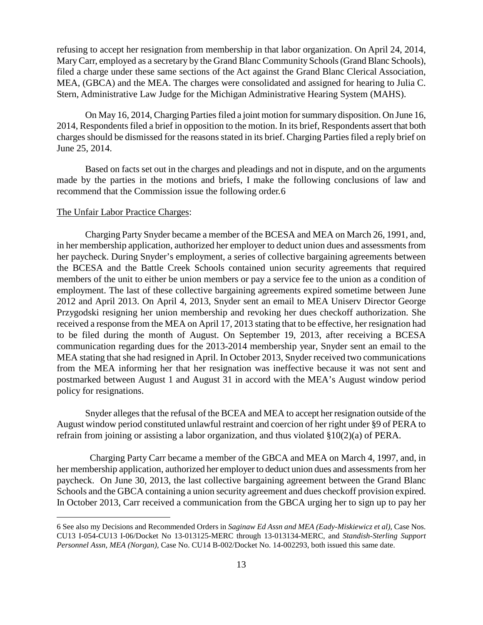refusing to accept her resignation from membership in that labor organization. On April 24, 2014, Mary Carr, employed as a secretary by the Grand Blanc Community Schools (Grand Blanc Schools), filed a charge under these same sections of the Act against the Grand Blanc Clerical Association, MEA, (GBCA) and the MEA. The charges were consolidated and assigned for hearing to Julia C. Stern, Administrative Law Judge for the Michigan Administrative Hearing System (MAHS).

On May 16, 2014, Charging Parties filed a joint motion for summary disposition. On June 16, 2014, Respondents filed a brief in opposition to the motion. In its brief, Respondents assert that both charges should be dismissed for the reasons stated in its brief. Charging Parties filed a reply brief on June 25, 2014.

Based on facts set out in the charges and pleadings and not in dispute, and on the arguments made by the parties in the motions and briefs, I make the following conclusions of law and recommend that the Commission issue the following order.[6](#page-12-0)

#### The Unfair Labor Practice Charges:

 $\overline{a}$ 

Charging Party Snyder became a member of the BCESA and MEA on March 26, 1991, and, in her membership application, authorized her employer to deduct union dues and assessments from her paycheck. During Snyder's employment, a series of collective bargaining agreements between the BCESA and the Battle Creek Schools contained union security agreements that required members of the unit to either be union members or pay a service fee to the union as a condition of employment. The last of these collective bargaining agreements expired sometime between June 2012 and April 2013. On April 4, 2013, Snyder sent an email to MEA Uniserv Director George Przygodski resigning her union membership and revoking her dues checkoff authorization. She received a response from the MEA on April 17, 2013 stating that to be effective, her resignation had to be filed during the month of August. On September 19, 2013, after receiving a BCESA communication regarding dues for the 2013-2014 membership year, Snyder sent an email to the MEA stating that she had resigned in April. In October 2013, Snyder received two communications from the MEA informing her that her resignation was ineffective because it was not sent and postmarked between August 1 and August 31 in accord with the MEA's August window period policy for resignations.

Snyder alleges that the refusal of the BCEA and MEA to accept her resignation outside of the August window period constituted unlawful restraint and coercion of her right under §9 of PERA to refrain from joining or assisting a labor organization, and thus violated §10(2)(a) of PERA.

 Charging Party Carr became a member of the GBCA and MEA on March 4, 1997, and, in her membership application, authorized her employer to deduct union dues and assessments from her paycheck. On June 30, 2013, the last collective bargaining agreement between the Grand Blanc Schools and the GBCA containing a union security agreement and dues checkoff provision expired. In October 2013, Carr received a communication from the GBCA urging her to sign up to pay her

<span id="page-12-0"></span><sup>6</sup> See also my Decisions and Recommended Orders in *Saginaw Ed Assn and MEA (Eady-Miskiewicz et al),* Case Nos. CU13 I-054-CU13 I-06/Docket No 13-013125-MERC through 13-013134-MERC, and *Standish-Sterling Support Personnel Assn, MEA (Norgan),* Case No. CU14 B-002/Docket No. 14-002293, both issued this same date.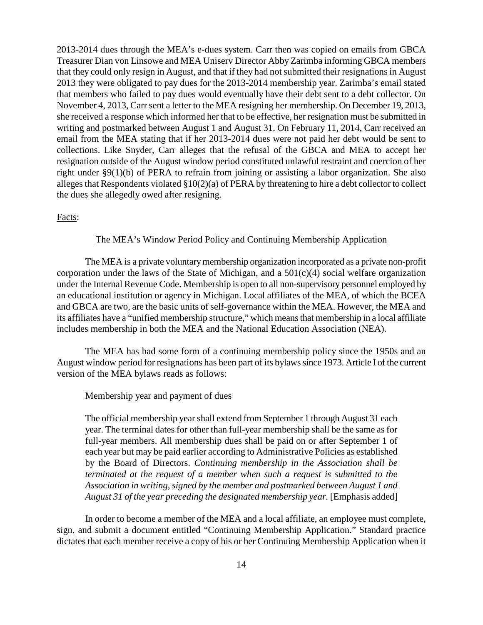2013-2014 dues through the MEA's e-dues system. Carr then was copied on emails from GBCA Treasurer Dian von Linsowe and MEA Uniserv Director Abby Zarimba informing GBCA members that they could only resign in August, and that if they had not submitted their resignations in August 2013 they were obligated to pay dues for the 2013-2014 membership year. Zarimba's email stated that members who failed to pay dues would eventually have their debt sent to a debt collector. On November 4, 2013, Carr sent a letter to the MEA resigning her membership. On December 19, 2013, she received a response which informed her that to be effective, her resignation must be submitted in writing and postmarked between August 1 and August 31. On February 11, 2014, Carr received an email from the MEA stating that if her 2013-2014 dues were not paid her debt would be sent to collections. Like Snyder, Carr alleges that the refusal of the GBCA and MEA to accept her resignation outside of the August window period constituted unlawful restraint and coercion of her right under §9(1)(b) of PERA to refrain from joining or assisting a labor organization. She also alleges that Respondents violated §10(2)(a) of PERA by threatening to hire a debt collector to collect the dues she allegedly owed after resigning.

Facts:

### The MEA's Window Period Policy and Continuing Membership Application

The MEA is a private voluntary membership organization incorporated as a private non-profit corporation under the laws of the State of Michigan, and a  $501(c)(4)$  social welfare organization under the Internal Revenue Code. Membership is open to all non-supervisory personnel employed by an educational institution or agency in Michigan. Local affiliates of the MEA, of which the BCEA and GBCA are two, are the basic units of self-governance within the MEA. However, the MEA and its affiliates have a "unified membership structure," which means that membership in a local affiliate includes membership in both the MEA and the National Education Association (NEA).

The MEA has had some form of a continuing membership policy since the 1950s and an August window period for resignations has been part of its bylaws since 1973. Article I of the current version of the MEA bylaws reads as follows:

Membership year and payment of dues

The official membership year shall extend from September 1 through August 31 each year. The terminal dates for other than full-year membership shall be the same as for full-year members. All membership dues shall be paid on or after September 1 of each year but may be paid earlier according to Administrative Policies as established by the Board of Directors. *Continuing membership in the Association shall be terminated at the request of a member when such a request is submitted to the Association in writing, signed by the member and postmarked between August 1 and August 31 of the year preceding the designated membership year.* [Emphasis added]

In order to become a member of the MEA and a local affiliate, an employee must complete, sign, and submit a document entitled "Continuing Membership Application." Standard practice dictates that each member receive a copy of his or her Continuing Membership Application when it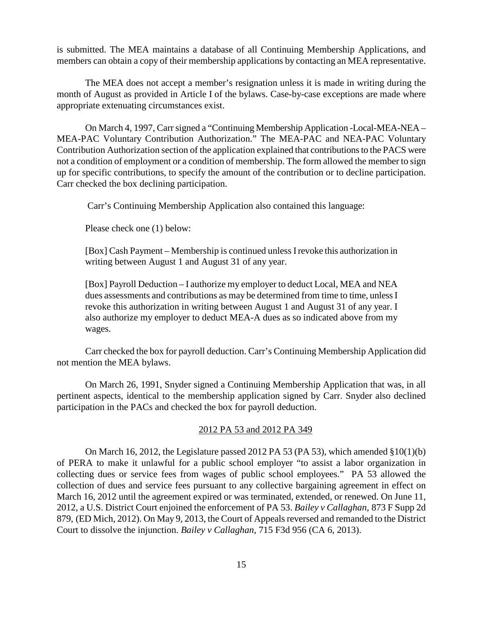is submitted. The MEA maintains a database of all Continuing Membership Applications, and members can obtain a copy of their membership applications by contacting an MEA representative.

The MEA does not accept a member's resignation unless it is made in writing during the month of August as provided in Article I of the bylaws. Case-by-case exceptions are made where appropriate extenuating circumstances exist.

On March 4, 1997, Carr signed a "Continuing Membership Application -Local-MEA-NEA – MEA-PAC Voluntary Contribution Authorization." The MEA-PAC and NEA-PAC Voluntary Contribution Authorization section of the application explained that contributions to the PACS were not a condition of employment or a condition of membership. The form allowed the member to sign up for specific contributions, to specify the amount of the contribution or to decline participation. Carr checked the box declining participation.

Carr's Continuing Membership Application also contained this language:

Please check one (1) below:

[Box] Cash Payment – Membership is continued unless I revoke this authorization in writing between August 1 and August 31 of any year.

[Box] Payroll Deduction – I authorize my employer to deduct Local, MEA and NEA dues assessments and contributions as may be determined from time to time, unless I revoke this authorization in writing between August 1 and August 31 of any year. I also authorize my employer to deduct MEA-A dues as so indicated above from my wages.

Carr checked the box for payroll deduction. Carr's Continuing Membership Application did not mention the MEA bylaws.

On March 26, 1991, Snyder signed a Continuing Membership Application that was, in all pertinent aspects, identical to the membership application signed by Carr. Snyder also declined participation in the PACs and checked the box for payroll deduction.

### 2012 PA 53 and 2012 PA 349

On March 16, 2012, the Legislature passed 2012 PA 53 (PA 53), which amended  $\S 10(1)(b)$ of PERA to make it unlawful for a public school employer "to assist a labor organization in collecting dues or service fees from wages of public school employees." PA 53 allowed the collection of dues and service fees pursuant to any collective bargaining agreement in effect on March 16, 2012 until the agreement expired or was terminated, extended, or renewed. On June 11, 2012, a U.S. District Court enjoined the enforcement of PA 53. *Bailey v Callaghan,* 873 F Supp 2d 879, (ED Mich, 2012). On May 9, 2013, the Court of Appeals reversed and remanded to the District Court to dissolve the injunction. *Bailey v Callaghan*, 715 F3d 956 (CA 6, 2013).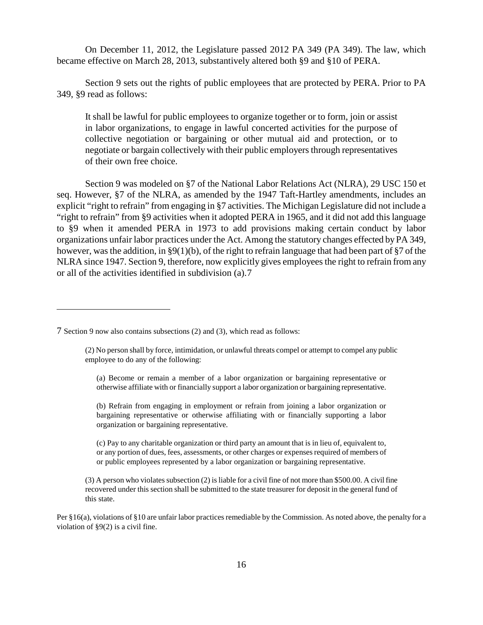On December 11, 2012, the Legislature passed 2012 PA 349 (PA 349). The law, which became effective on March 28, 2013, substantively altered both §9 and §10 of PERA.

Section 9 sets out the rights of public employees that are protected by PERA. Prior to PA 349, §9 read as follows:

It shall be lawful for public employees to organize together or to form, join or assist in labor organizations, to engage in lawful concerted activities for the purpose of collective negotiation or bargaining or other mutual aid and protection, or to negotiate or bargain collectively with their public employers through representatives of their own free choice.

Section 9 was modeled on §7 of the National Labor Relations Act (NLRA), 29 USC 150 et seq. However, §7 of the NLRA, as amended by the 1947 Taft-Hartley amendments, includes an explicit "right to refrain" from engaging in §7 activities. The Michigan Legislature did not include a "right to refrain" from §9 activities when it adopted PERA in 1965, and it did not add this language to §9 when it amended PERA in 1973 to add provisions making certain conduct by labor organizations unfair labor practices under the Act. Among the statutory changes effected by PA 349, however, was the addition, in §9(1)(b), of the right to refrain language that had been part of §7 of the NLRA since 1947. Section 9, therefore, now explicitly gives employees the right to refrain from any or all of the activities identified in subdivision (a).[7](#page-15-0)

 $\overline{a}$ 

(a) Become or remain a member of a labor organization or bargaining representative or otherwise affiliate with or financially support a labor organization or bargaining representative.

(b) Refrain from engaging in employment or refrain from joining a labor organization or bargaining representative or otherwise affiliating with or financially supporting a labor organization or bargaining representative.

(c) Pay to any charitable organization or third party an amount that is in lieu of, equivalent to, or any portion of dues, fees, assessments, or other charges or expenses required of members of or public employees represented by a labor organization or bargaining representative.

(3) A person who violates subsection (2) is liable for a civil fine of not more than \$500.00. A civil fine recovered under this section shall be submitted to the state treasurer for deposit in the general fund of this state.

Per §16(a), violations of §10 are unfair labor practices remediable by the Commission. As noted above, the penalty for a violation of §9(2) is a civil fine.

<span id="page-15-0"></span><sup>7</sup> Section 9 now also contains subsections (2) and (3), which read as follows:

<sup>(2)</sup> No person shall by force, intimidation, or unlawful threats compel or attempt to compel any public employee to do any of the following: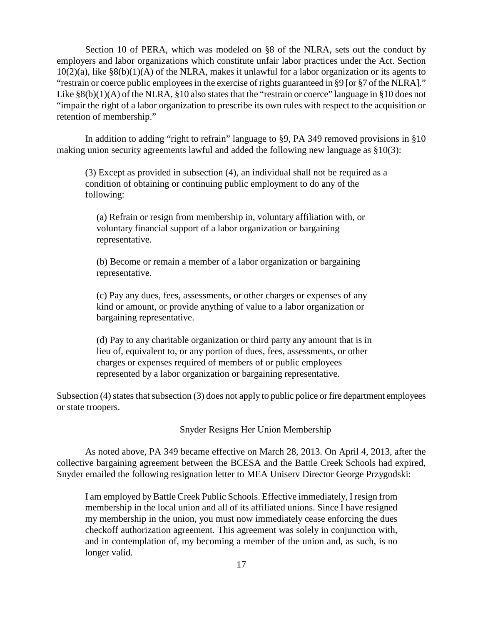Section 10 of PERA, which was modeled on §8 of the NLRA, sets out the conduct by employers and labor organizations which constitute unfair labor practices under the Act. Section  $10(2)(a)$ , like  $\S(6)(1)(A)$  of the NLRA, makes it unlawful for a labor organization or its agents to "restrain or coerce public employees in the exercise of rights guaranteed in §9 [or §7 of the NLRA]." Like  $\S8(b)(1)(A)$  of the NLRA,  $\S10$  also states that the "restrain or coerce" language in  $\S10$  does not "impair the right of a labor organization to prescribe its own rules with respect to the acquisition or retention of membership."

In addition to adding "right to refrain" language to §9, PA 349 removed provisions in §10 making union security agreements lawful and added the following new language as §10(3):

(3) Except as provided in subsection (4), an individual shall not be required as a condition of obtaining or continuing public employment to do any of the following:

(a) Refrain or resign from membership in, voluntary affiliation with, or voluntary financial support of a labor organization or bargaining representative.

(b) Become or remain a member of a labor organization or bargaining representative.

(c) Pay any dues, fees, assessments, or other charges or expenses of any kind or amount, or provide anything of value to a labor organization or bargaining representative.

(d) Pay to any charitable organization or third party any amount that is in lieu of, equivalent to, or any portion of dues, fees, assessments, or other charges or expenses required of members of or public employees represented by a labor organization or bargaining representative.

Subsection (4) states that subsection (3) does not apply to public police or fire department employees or state troopers.

# Snyder Resigns Her Union Membership

As noted above, PA 349 became effective on March 28, 2013. On April 4, 2013, after the collective bargaining agreement between the BCESA and the Battle Creek Schools had expired, Snyder emailed the following resignation letter to MEA Uniserv Director George Przygodski:

I am employed by Battle Creek Public Schools. Effective immediately, I resign from membership in the local union and all of its affiliated unions. Since I have resigned my membership in the union, you must now immediately cease enforcing the dues checkoff authorization agreement. This agreement was solely in conjunction with, and in contemplation of, my becoming a member of the union and, as such, is no longer valid.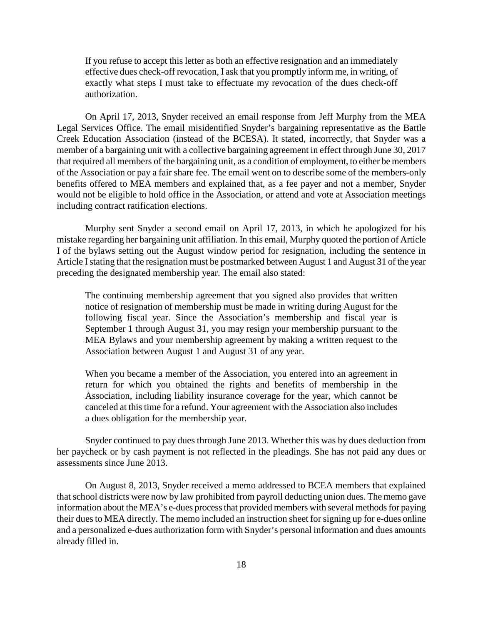If you refuse to accept this letter as both an effective resignation and an immediately effective dues check-off revocation, I ask that you promptly inform me, in writing, of exactly what steps I must take to effectuate my revocation of the dues check-off authorization.

On April 17, 2013, Snyder received an email response from Jeff Murphy from the MEA Legal Services Office. The email misidentified Snyder's bargaining representative as the Battle Creek Education Association (instead of the BCESA). It stated, incorrectly, that Snyder was a member of a bargaining unit with a collective bargaining agreement in effect through June 30, 2017 that required all members of the bargaining unit, as a condition of employment, to either be members of the Association or pay a fair share fee. The email went on to describe some of the members-only benefits offered to MEA members and explained that, as a fee payer and not a member, Snyder would not be eligible to hold office in the Association, or attend and vote at Association meetings including contract ratification elections.

Murphy sent Snyder a second email on April 17, 2013, in which he apologized for his mistake regarding her bargaining unit affiliation. In this email, Murphy quoted the portion of Article I of the bylaws setting out the August window period for resignation, including the sentence in Article I stating that the resignation must be postmarked between August 1 and August 31 of the year preceding the designated membership year. The email also stated:

The continuing membership agreement that you signed also provides that written notice of resignation of membership must be made in writing during August for the following fiscal year. Since the Association's membership and fiscal year is September 1 through August 31, you may resign your membership pursuant to the MEA Bylaws and your membership agreement by making a written request to the Association between August 1 and August 31 of any year.

When you became a member of the Association, you entered into an agreement in return for which you obtained the rights and benefits of membership in the Association, including liability insurance coverage for the year, which cannot be canceled at this time for a refund. Your agreement with the Association also includes a dues obligation for the membership year.

Snyder continued to pay dues through June 2013. Whether this was by dues deduction from her paycheck or by cash payment is not reflected in the pleadings. She has not paid any dues or assessments since June 2013.

On August 8, 2013, Snyder received a memo addressed to BCEA members that explained that school districts were now by law prohibited from payroll deducting union dues. The memo gave information about the MEA's e-dues process that provided members with several methods for paying their dues to MEA directly. The memo included an instruction sheet for signing up for e-dues online and a personalized e-dues authorization form with Snyder's personal information and dues amounts already filled in.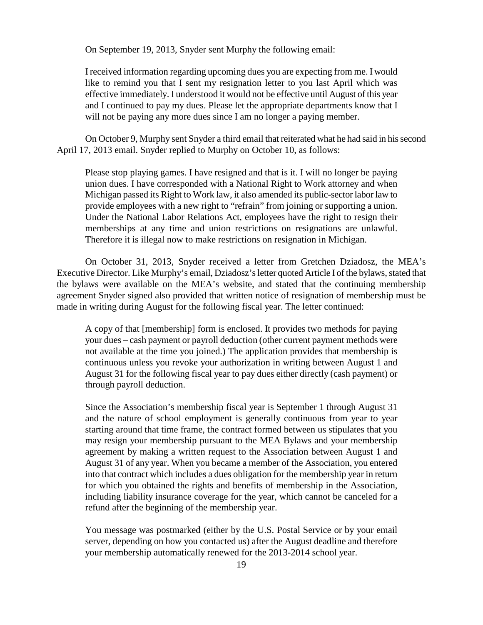On September 19, 2013, Snyder sent Murphy the following email:

I received information regarding upcoming dues you are expecting from me. I would like to remind you that I sent my resignation letter to you last April which was effective immediately. I understood it would not be effective until August of this year and I continued to pay my dues. Please let the appropriate departments know that I will not be paying any more dues since I am no longer a paying member.

On October 9, Murphy sent Snyder a third email that reiterated what he had said in his second April 17, 2013 email. Snyder replied to Murphy on October 10, as follows:

Please stop playing games. I have resigned and that is it. I will no longer be paying union dues. I have corresponded with a National Right to Work attorney and when Michigan passed its Right to Work law, it also amended its public-sector labor law to provide employees with a new right to "refrain" from joining or supporting a union. Under the National Labor Relations Act, employees have the right to resign their memberships at any time and union restrictions on resignations are unlawful. Therefore it is illegal now to make restrictions on resignation in Michigan.

On October 31, 2013, Snyder received a letter from Gretchen Dziadosz, the MEA's Executive Director. Like Murphy's email, Dziadosz's letter quoted Article I of the bylaws, stated that the bylaws were available on the MEA's website, and stated that the continuing membership agreement Snyder signed also provided that written notice of resignation of membership must be made in writing during August for the following fiscal year. The letter continued:

A copy of that [membership] form is enclosed. It provides two methods for paying your dues – cash payment or payroll deduction (other current payment methods were not available at the time you joined.) The application provides that membership is continuous unless you revoke your authorization in writing between August 1 and August 31 for the following fiscal year to pay dues either directly (cash payment) or through payroll deduction.

Since the Association's membership fiscal year is September 1 through August 31 and the nature of school employment is generally continuous from year to year starting around that time frame, the contract formed between us stipulates that you may resign your membership pursuant to the MEA Bylaws and your membership agreement by making a written request to the Association between August 1 and August 31 of any year. When you became a member of the Association, you entered into that contract which includes a dues obligation for the membership year in return for which you obtained the rights and benefits of membership in the Association, including liability insurance coverage for the year, which cannot be canceled for a refund after the beginning of the membership year.

You message was postmarked (either by the U.S. Postal Service or by your email server, depending on how you contacted us) after the August deadline and therefore your membership automatically renewed for the 2013-2014 school year.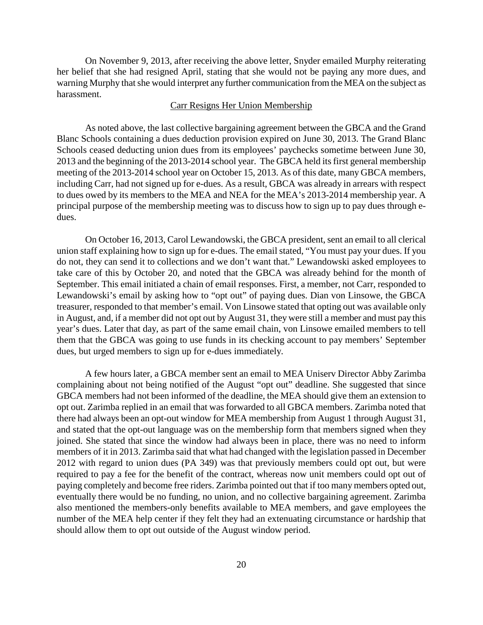On November 9, 2013, after receiving the above letter, Snyder emailed Murphy reiterating her belief that she had resigned April, stating that she would not be paying any more dues, and warning Murphy that she would interpret any further communication from the MEA on the subject as harassment.

### Carr Resigns Her Union Membership

As noted above, the last collective bargaining agreement between the GBCA and the Grand Blanc Schools containing a dues deduction provision expired on June 30, 2013. The Grand Blanc Schools ceased deducting union dues from its employees' paychecks sometime between June 30, 2013 and the beginning of the 2013-2014 school year. The GBCA held its first general membership meeting of the 2013-2014 school year on October 15, 2013. As of this date, many GBCA members, including Carr, had not signed up for e-dues. As a result, GBCA was already in arrears with respect to dues owed by its members to the MEA and NEA for the MEA's 2013-2014 membership year. A principal purpose of the membership meeting was to discuss how to sign up to pay dues through edues.

On October 16, 2013, Carol Lewandowski, the GBCA president, sent an email to all clerical union staff explaining how to sign up for e-dues. The email stated, "You must pay your dues. If you do not, they can send it to collections and we don't want that." Lewandowski asked employees to take care of this by October 20, and noted that the GBCA was already behind for the month of September. This email initiated a chain of email responses. First, a member, not Carr, responded to Lewandowski's email by asking how to "opt out" of paying dues. Dian von Linsowe, the GBCA treasurer, responded to that member's email. Von Linsowe stated that opting out was available only in August, and, if a member did not opt out by August 31, they were still a member and must pay this year's dues. Later that day, as part of the same email chain, von Linsowe emailed members to tell them that the GBCA was going to use funds in its checking account to pay members' September dues, but urged members to sign up for e-dues immediately.

A few hours later, a GBCA member sent an email to MEA Uniserv Director Abby Zarimba complaining about not being notified of the August "opt out" deadline. She suggested that since GBCA members had not been informed of the deadline, the MEA should give them an extension to opt out. Zarimba replied in an email that was forwarded to all GBCA members. Zarimba noted that there had always been an opt-out window for MEA membership from August 1 through August 31, and stated that the opt-out language was on the membership form that members signed when they joined. She stated that since the window had always been in place, there was no need to inform members of it in 2013. Zarimba said that what had changed with the legislation passed in December 2012 with regard to union dues (PA 349) was that previously members could opt out, but were required to pay a fee for the benefit of the contract, whereas now unit members could opt out of paying completely and become free riders. Zarimba pointed out that if too many members opted out, eventually there would be no funding, no union, and no collective bargaining agreement. Zarimba also mentioned the members-only benefits available to MEA members, and gave employees the number of the MEA help center if they felt they had an extenuating circumstance or hardship that should allow them to opt out outside of the August window period.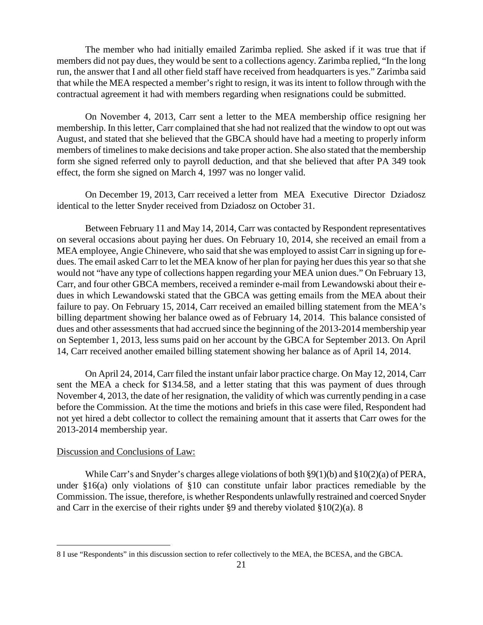The member who had initially emailed Zarimba replied. She asked if it was true that if members did not pay dues, they would be sent to a collections agency. Zarimba replied, "In the long run, the answer that I and all other field staff have received from headquarters is yes." Zarimba said that while the MEA respected a member's right to resign, it was its intent to follow through with the contractual agreement it had with members regarding when resignations could be submitted.

On November 4, 2013, Carr sent a letter to the MEA membership office resigning her membership. In this letter, Carr complained that she had not realized that the window to opt out was August, and stated that she believed that the GBCA should have had a meeting to properly inform members of timelines to make decisions and take proper action. She also stated that the membership form she signed referred only to payroll deduction, and that she believed that after PA 349 took effect, the form she signed on March 4, 1997 was no longer valid.

On December 19, 2013, Carr received a letter from MEA Executive Director Dziadosz identical to the letter Snyder received from Dziadosz on October 31.

Between February 11 and May 14, 2014, Carr was contacted by Respondent representatives on several occasions about paying her dues. On February 10, 2014, she received an email from a MEA employee, Angie Chinevere, who said that she was employed to assist Carr in signing up for edues. The email asked Carr to let the MEA know of her plan for paying her dues this year so that she would not "have any type of collections happen regarding your MEA union dues." On February 13, Carr, and four other GBCA members, received a reminder e-mail from Lewandowski about their edues in which Lewandowski stated that the GBCA was getting emails from the MEA about their failure to pay. On February 15, 2014, Carr received an emailed billing statement from the MEA's billing department showing her balance owed as of February 14, 2014. This balance consisted of dues and other assessments that had accrued since the beginning of the 2013-2014 membership year on September 1, 2013, less sums paid on her account by the GBCA for September 2013. On April 14, Carr received another emailed billing statement showing her balance as of April 14, 2014.

On April 24, 2014, Carr filed the instant unfair labor practice charge. On May 12, 2014, Carr sent the MEA a check for \$134.58, and a letter stating that this was payment of dues through November 4, 2013, the date of her resignation, the validity of which was currently pending in a case before the Commission. At the time the motions and briefs in this case were filed, Respondent had not yet hired a debt collector to collect the remaining amount that it asserts that Carr owes for the 2013-2014 membership year.

### Discussion and Conclusions of Law:

 $\overline{a}$ 

While Carr's and Snyder's charges allege violations of both  $\S9(1)(b)$  and  $\S10(2)(a)$  of PERA, under §16(a) only violations of §10 can constitute unfair labor practices remediable by the Commission. The issue, therefore, is whether Respondents unlawfully restrained and coerced Snyder and Carr in the exercise of their rights under §9 and thereby violated §10(2)(a). [8](#page-20-0)

<span id="page-20-0"></span><sup>8</sup> I use "Respondents" in this discussion section to refer collectively to the MEA, the BCESA, and the GBCA.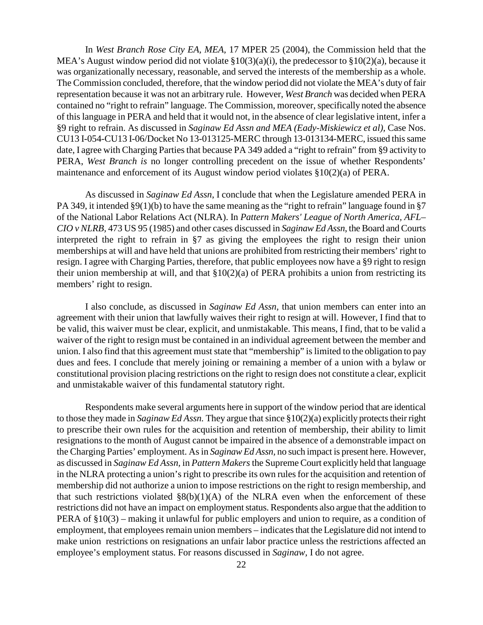In *West Branch Rose City EA, MEA,* 17 MPER 25 (2004), the Commission held that the MEA's August window period did not violate §10(3)(a)(i), the predecessor to §10(2)(a), because it was organizationally necessary, reasonable, and served the interests of the membership as a whole. The Commission concluded, therefore, that the window period did not violate the MEA's duty of fair representation because it was not an arbitrary rule. However, *West Branch* was decided when PERA contained no "right to refrain" language. The Commission, moreover, specifically noted the absence of this language in PERA and held that it would not, in the absence of clear legislative intent, infer a §9 right to refrain. As discussed in *Saginaw Ed Assn and MEA (Eady-Miskiewicz et al),* Case Nos. CU13 I-054-CU13 I-06/Docket No 13-013125-MERC through 13-013134-MERC, issued this same date, I agree with Charging Parties that because PA 349 added a "right to refrain" from §9 activity to PERA, *West Branch is* no longer controlling precedent on the issue of whether Respondents' maintenance and enforcement of its August window period violates §10(2)(a) of PERA.

As discussed in *Saginaw Ed Assn*, I conclude that when the Legislature amended PERA in PA 349, it intended §9(1)(b) to have the same meaning as the "right to refrain" language found in §7 of the National Labor Relations Act (NLRA). In *Pattern Makers' League of North America, AFL– CIO v NLRB,* 473 US 95 (1985) and other cases discussed in *Saginaw Ed Assn*, the Board and Courts interpreted the right to refrain in §7 as giving the employees the right to resign their union memberships at will and have held that unions are prohibited from restricting their members' right to resign. I agree with Charging Parties, therefore, that public employees now have a §9 right to resign their union membership at will, and that §10(2)(a) of PERA prohibits a union from restricting its members' right to resign.

I also conclude, as discussed in *Saginaw Ed Assn,* that union members can enter into an agreement with their union that lawfully waives their right to resign at will. However, I find that to be valid, this waiver must be clear, explicit, and unmistakable. This means, I find, that to be valid a waiver of the right to resign must be contained in an individual agreement between the member and union. I also find that this agreement must state that "membership" is limited to the obligation to pay dues and fees. I conclude that merely joining or remaining a member of a union with a bylaw or constitutional provision placing restrictions on the right to resign does not constitute a clear, explicit and unmistakable waiver of this fundamental statutory right.

Respondents make several arguments here in support of the window period that are identical to those they made in *Saginaw Ed Assn.* They argue that since §10(2)(a) explicitly protects their right to prescribe their own rules for the acquisition and retention of membership, their ability to limit resignations to the month of August cannot be impaired in the absence of a demonstrable impact on the Charging Parties' employment. As in *Saginaw Ed Assn,* no such impact is present here. However, as discussed in *Saginaw Ed Assn,* in *Pattern Makers*the Supreme Court explicitly held that language in the NLRA protecting a union's right to prescribe its own rules for the acquisition and retention of membership did not authorize a union to impose restrictions on the right to resign membership, and that such restrictions violated  $\S(6)(1)(A)$  of the NLRA even when the enforcement of these restrictions did not have an impact on employment status. Respondents also argue that the addition to PERA of §10(3) – making it unlawful for public employers and union to require, as a condition of employment, that employees remain union members – indicates that the Legislature did not intend to make union restrictions on resignations an unfair labor practice unless the restrictions affected an employee's employment status. For reasons discussed in *Saginaw,* I do not agree.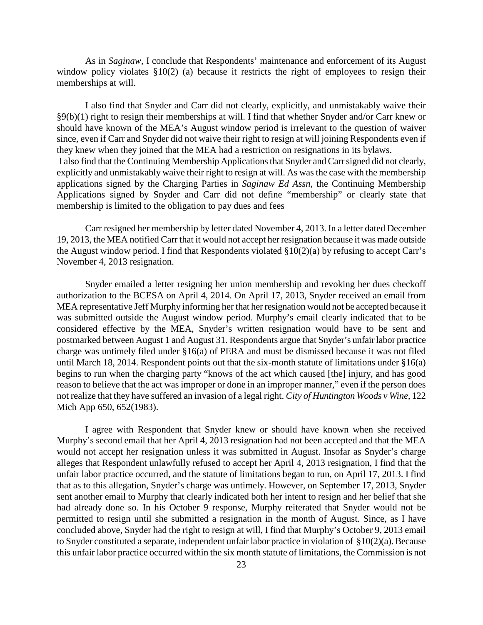As in *Saginaw,* I conclude that Respondents' maintenance and enforcement of its August window policy violates §10(2) (a) because it restricts the right of employees to resign their memberships at will.

I also find that Snyder and Carr did not clearly, explicitly, and unmistakably waive their §9(b)(1) right to resign their memberships at will. I find that whether Snyder and/or Carr knew or should have known of the MEA's August window period is irrelevant to the question of waiver since, even if Carr and Snyder did not waive their right to resign at will joining Respondents even if they knew when they joined that the MEA had a restriction on resignations in its bylaws. I also find that the Continuing Membership Applications that Snyder and Carr signed did not clearly, explicitly and unmistakably waive their right to resign at will. As was the case with the membership applications signed by the Charging Parties in *Saginaw Ed Assn,* the Continuing Membership Applications signed by Snyder and Carr did not define "membership" or clearly state that membership is limited to the obligation to pay dues and fees

Carr resigned her membership by letter dated November 4, 2013. In a letter dated December 19, 2013, the MEA notified Carr that it would not accept her resignation because it was made outside the August window period. I find that Respondents violated §10(2)(a) by refusing to accept Carr's November 4, 2013 resignation.

Snyder emailed a letter resigning her union membership and revoking her dues checkoff authorization to the BCESA on April 4, 2014. On April 17, 2013, Snyder received an email from MEA representative Jeff Murphy informing her that her resignation would not be accepted because it was submitted outside the August window period. Murphy's email clearly indicated that to be considered effective by the MEA, Snyder's written resignation would have to be sent and postmarked between August 1 and August 31. Respondents argue that Snyder's unfair labor practice charge was untimely filed under §16(a) of PERA and must be dismissed because it was not filed until March 18, 2014. Respondent points out that the six-month statute of limitations under §16(a) begins to run when the charging party "knows of the act which caused [the] injury, and has good reason to believe that the act was improper or done in an improper manner," even if the person does not realize that they have suffered an invasion of a legal right. *City of Huntington Woods v Wine,* 122 Mich App 650, 652(1983).

I agree with Respondent that Snyder knew or should have known when she received Murphy's second email that her April 4, 2013 resignation had not been accepted and that the MEA would not accept her resignation unless it was submitted in August. Insofar as Snyder's charge alleges that Respondent unlawfully refused to accept her April 4, 2013 resignation, I find that the unfair labor practice occurred, and the statute of limitations began to run, on April 17, 2013. I find that as to this allegation, Snyder's charge was untimely. However, on September 17, 2013, Snyder sent another email to Murphy that clearly indicated both her intent to resign and her belief that she had already done so. In his October 9 response, Murphy reiterated that Snyder would not be permitted to resign until she submitted a resignation in the month of August. Since, as I have concluded above, Snyder had the right to resign at will, I find that Murphy's October 9, 2013 email to Snyder constituted a separate, independent unfair labor practice in violation of §10(2)(a). Because this unfair labor practice occurred within the six month statute of limitations, the Commission is not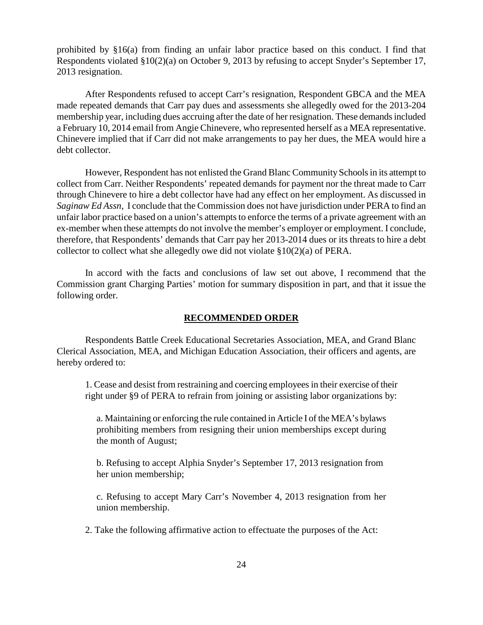prohibited by §16(a) from finding an unfair labor practice based on this conduct. I find that Respondents violated §10(2)(a) on October 9, 2013 by refusing to accept Snyder's September 17, 2013 resignation.

After Respondents refused to accept Carr's resignation, Respondent GBCA and the MEA made repeated demands that Carr pay dues and assessments she allegedly owed for the 2013-204 membership year, including dues accruing after the date of her resignation. These demands included a February 10, 2014 email from Angie Chinevere, who represented herself as a MEA representative. Chinevere implied that if Carr did not make arrangements to pay her dues, the MEA would hire a debt collector.

However, Respondent has not enlisted the Grand Blanc Community Schoolsin its attempt to collect from Carr. Neither Respondents' repeated demands for payment nor the threat made to Carr through Chinevere to hire a debt collector have had any effect on her employment. As discussed in *Saginaw Ed Assn,* I conclude that the Commission does not have jurisdiction under PERA to find an unfair labor practice based on a union's attempts to enforce the terms of a private agreement with an ex-member when these attempts do not involve the member's employer or employment. I conclude, therefore, that Respondents' demands that Carr pay her 2013-2014 dues or its threats to hire a debt collector to collect what she allegedly owe did not violate §10(2)(a) of PERA.

In accord with the facts and conclusions of law set out above, I recommend that the Commission grant Charging Parties' motion for summary disposition in part, and that it issue the following order.

### **RECOMMENDED ORDER**

Respondents Battle Creek Educational Secretaries Association, MEA, and Grand Blanc Clerical Association, MEA, and Michigan Education Association, their officers and agents, are hereby ordered to:

1. Cease and desist from restraining and coercing employees in their exercise of their right under §9 of PERA to refrain from joining or assisting labor organizations by:

a. Maintaining or enforcing the rule contained in Article I of the MEA's bylaws prohibiting members from resigning their union memberships except during the month of August;

b. Refusing to accept Alphia Snyder's September 17, 2013 resignation from her union membership;

c. Refusing to accept Mary Carr's November 4, 2013 resignation from her union membership.

2. Take the following affirmative action to effectuate the purposes of the Act: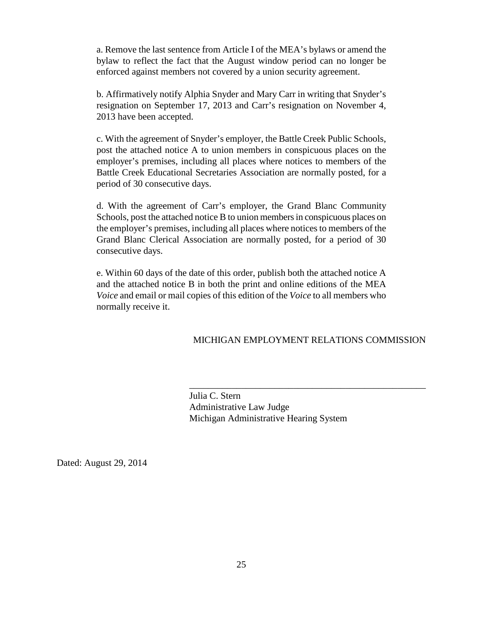a. Remove the last sentence from Article I of the MEA's bylaws or amend the bylaw to reflect the fact that the August window period can no longer be enforced against members not covered by a union security agreement.

b. Affirmatively notify Alphia Snyder and Mary Carr in writing that Snyder's resignation on September 17, 2013 and Carr's resignation on November 4, 2013 have been accepted.

c. With the agreement of Snyder's employer, the Battle Creek Public Schools, post the attached notice A to union members in conspicuous places on the employer's premises, including all places where notices to members of the Battle Creek Educational Secretaries Association are normally posted, for a period of 30 consecutive days.

d. With the agreement of Carr's employer, the Grand Blanc Community Schools, post the attached notice B to union members in conspicuous places on the employer's premises, including all places where notices to members of the Grand Blanc Clerical Association are normally posted, for a period of 30 consecutive days.

e. Within 60 days of the date of this order, publish both the attached notice A and the attached notice B in both the print and online editions of the MEA *Voice* and email or mail copies of this edition of the *Voice* to all members who normally receive it.

### MICHIGAN EMPLOYMENT RELATIONS COMMISSION

\_\_\_\_\_\_\_\_\_\_\_\_\_\_\_\_\_\_\_\_\_\_\_\_\_\_\_\_\_\_\_\_\_\_\_\_\_\_\_\_\_\_\_\_\_\_\_\_\_\_

 Julia C. Stern Administrative Law Judge Michigan Administrative Hearing System

Dated: August 29, 2014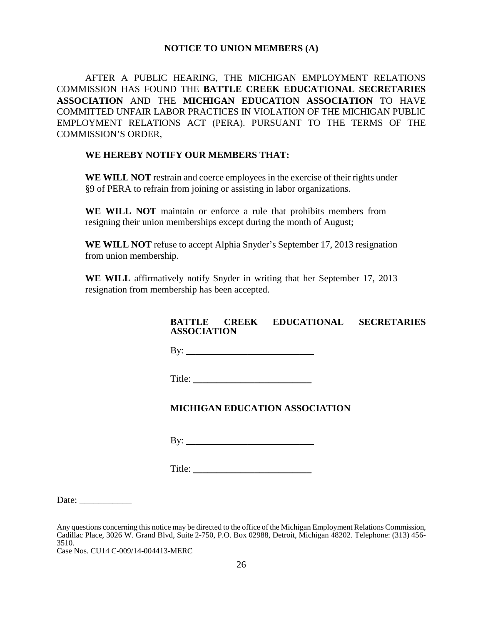#### **NOTICE TO UNION MEMBERS (A)**

AFTER A PUBLIC HEARING, THE MICHIGAN EMPLOYMENT RELATIONS COMMISSION HAS FOUND THE **BATTLE CREEK EDUCATIONAL SECRETARIES ASSOCIATION** AND THE **MICHIGAN EDUCATION ASSOCIATION** TO HAVE COMMITTED UNFAIR LABOR PRACTICES IN VIOLATION OF THE MICHIGAN PUBLIC EMPLOYMENT RELATIONS ACT (PERA). PURSUANT TO THE TERMS OF THE COMMISSION'S ORDER,

#### **WE HEREBY NOTIFY OUR MEMBERS THAT:**

WE WILL NOT restrain and coerce employees in the exercise of their rights under §9 of PERA to refrain from joining or assisting in labor organizations.

**WE WILL NOT** maintain or enforce a rule that prohibits members from resigning their union memberships except during the month of August;

**WE WILL NOT** refuse to accept Alphia Snyder's September 17, 2013 resignation from union membership.

**WE WILL** affirmatively notify Snyder in writing that her September 17, 2013 resignation from membership has been accepted.

# **BATTLE CREEK EDUCATIONAL SECRETARIES ASSOCIATION**

By: \_\_\_\_\_\_\_\_\_\_\_\_\_\_\_\_\_\_\_\_\_\_\_\_\_\_\_

Title:

# **MICHIGAN EDUCATION ASSOCIATION**

By:  $\qquad \qquad$ 

Title: \_\_\_\_\_\_\_\_\_\_\_\_\_\_\_\_\_\_\_\_\_\_\_\_\_

Date:

Any questions concerning this notice may be directed to the office of the Michigan Employment Relations Commission, Cadillac Place, 3026 W. Grand Blvd, Suite 2-750, P.O. Box 02988, Detroit, Michigan 48202. Telephone: (313) 456- 3510.

Case Nos. CU14 C-009/14-004413-MERC